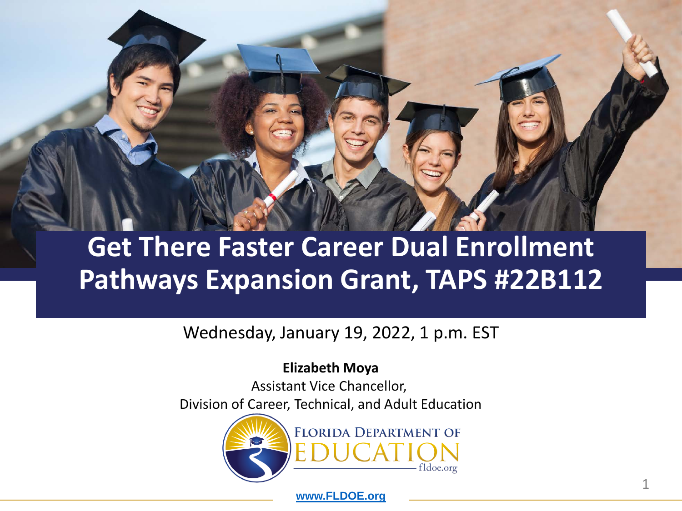## **Get There Faster Career Dual Enrollment Pathways Expansion Grant, TAPS #22B112**

#### Wednesday, January 19, 2022, 1 p.m. EST

#### **Elizabeth Moya**

Assistant Vice Chancellor, Division of Career, Technical, and Adult Education



**[www.FLDOE.org](http://www.fldoe.org/)**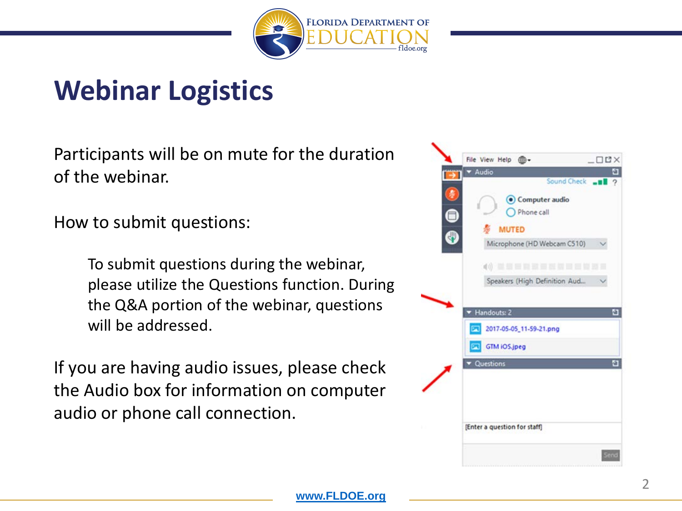

### **Webinar Logistics**

Participants will be on mute for the duration of the webinar.

How to submit questions:

To submit questions during the webinar, please utilize the Questions function. During the Q&A portion of the webinar, questions will be addressed.

If you are having audio issues, please check the Audio box for information on computer audio or phone call connection.

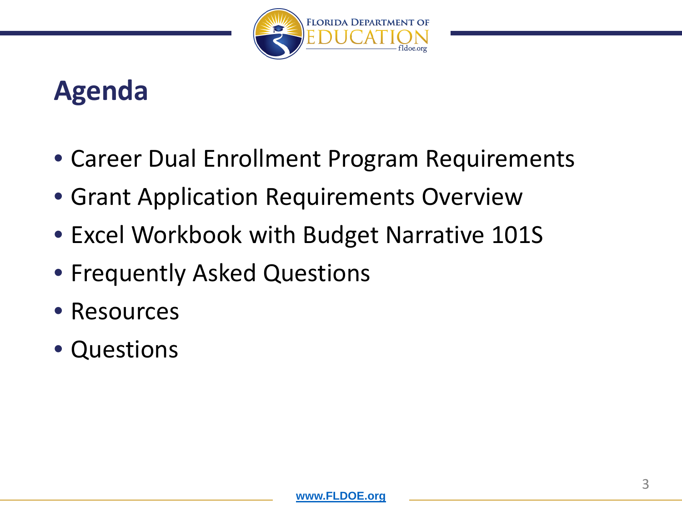

### **Agenda**

- Career Dual Enrollment Program Requirements
- Grant Application Requirements Overview
- Excel Workbook with Budget Narrative 101S
- Frequently Asked Questions
- Resources
- Questions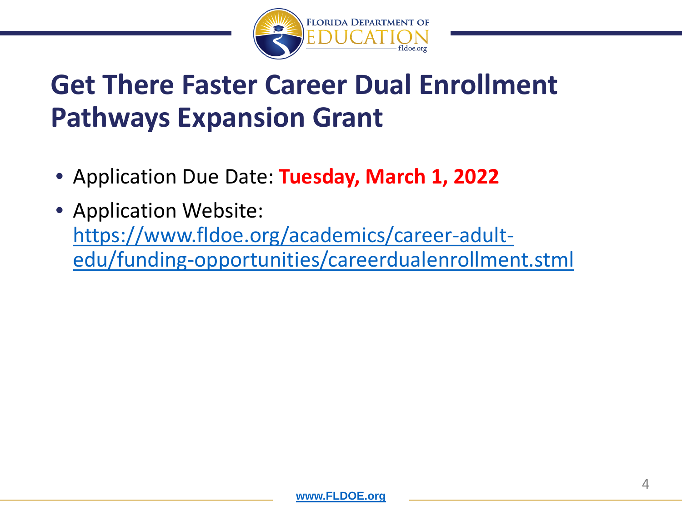

### **Get There Faster Career Dual Enrollment Pathways Expansion Grant**

- Application Due Date: **Tuesday, March 1, 2022**
- Application Website: https://www.fldoe.org/academics/career-adult[edu/funding-opportunities/careerdualenrollment.stml](https://www.fldoe.org/academics/career-adult-edu/funding-opportunities/careerdualenrollment.stml)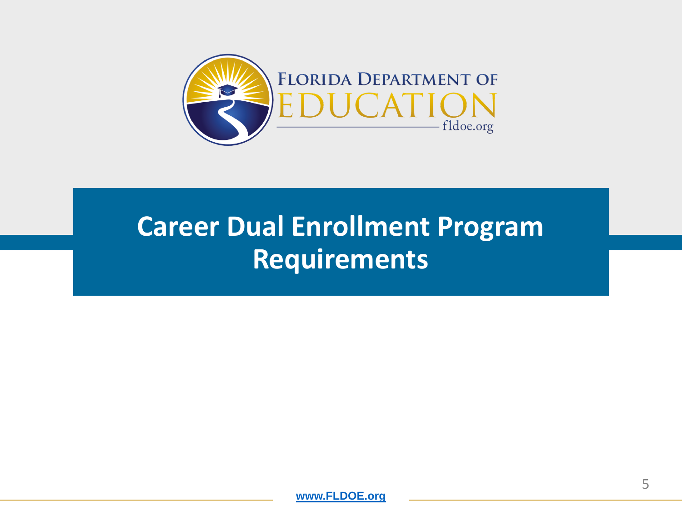

## **Career Dual Enrollment Program Requirements**

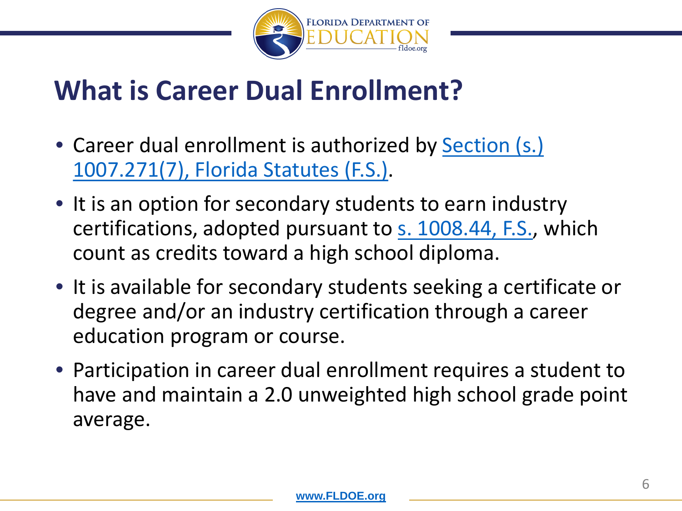

### **What is Career Dual Enrollment?**

- [Career dual enrollment is authorized by Section \(s.\)](https://www.flsenate.gov/laws/statutes/2012/1007.271) 1007.271(7), Florida Statutes (F.S.).
- It is an option for secondary students to earn industry certifications, adopted pursuant to [s. 1008.44, F.S.,](http://www.leg.state.fl.us/statutes/index.cfm?App_mode=Display_Statute&Search_String=1007.271&URL=1000-1099/1008/Sections/1008.44.html) which count as credits toward a high school diploma.
- It is available for secondary students seeking a certificate or degree and/or an industry certification through a career education program or course.
- Participation in career dual enrollment requires a student to have and maintain a 2.0 unweighted high school grade point average.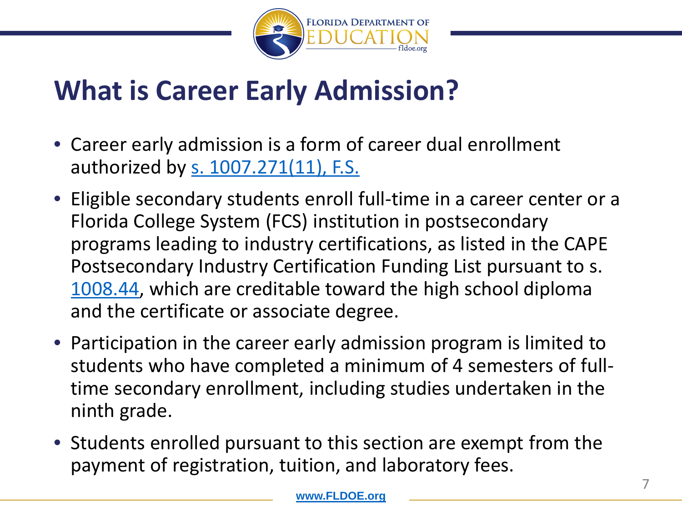

## **What is Career Early Admission?**

- Career early admission is a form of career dual enrollment authorized by s. [1007.271\(11\), F.S.](https://www.flsenate.gov/laws/statutes/2012/1007.271)
- Eligible secondary students enroll full-time in a career center or a Florida College System (FCS) institution in postsecondary programs leading to industry certifications, as listed in the CAPE Postsecondary Industry Certification Funding List pursuant to s. [1008.44](http://www.leg.state.fl.us/statutes/index.cfm?App_mode=Display_Statute&Search_String=1007.271&URL=1000-1099/1008/Sections/1008.44.html), which are creditable toward the high school diploma and the certificate or associate degree.
- Participation in the career early admission program is limited to students who have completed a minimum of 4 semesters of fulltime secondary enrollment, including studies undertaken in the ninth grade.
- Students enrolled pursuant to this section are exempt from the payment of registration, tuition, and laboratory fees.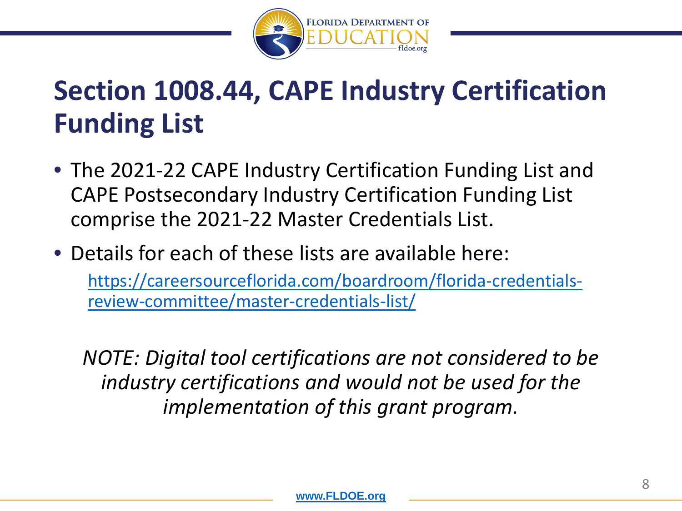

## **Section 1008.44, CAPE Industry Certification Funding List**

- The 2021-22 CAPE Industry Certification Funding List and CAPE Postsecondary Industry Certification Funding List comprise the 2021-22 Master Credentials List.
- Details for each of these lists are available here: [https://careersourceflorida.com/boardroom/florida-credentials](https://careersourceflorida.com/boardroom/florida-credentials-review-committee/master-credentials-list/)review-committee/master-credentials-list/

*NOTE: Digital tool certifications are not considered to be industry certifications and would not be used for the implementation of this grant program.*

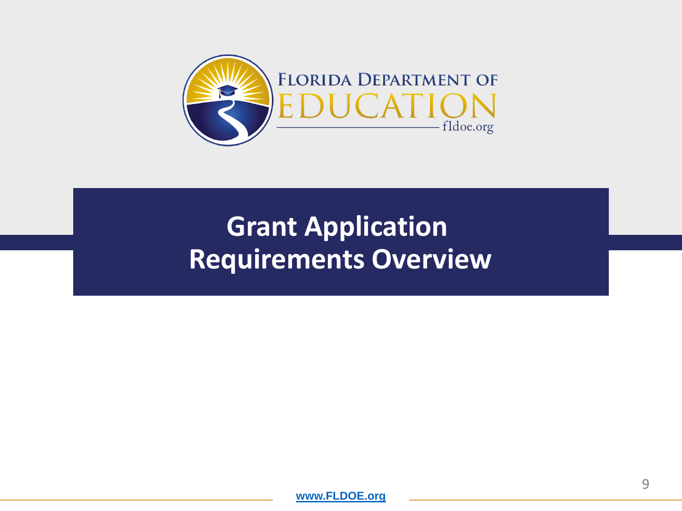

## **Grant Application Requirements Overview**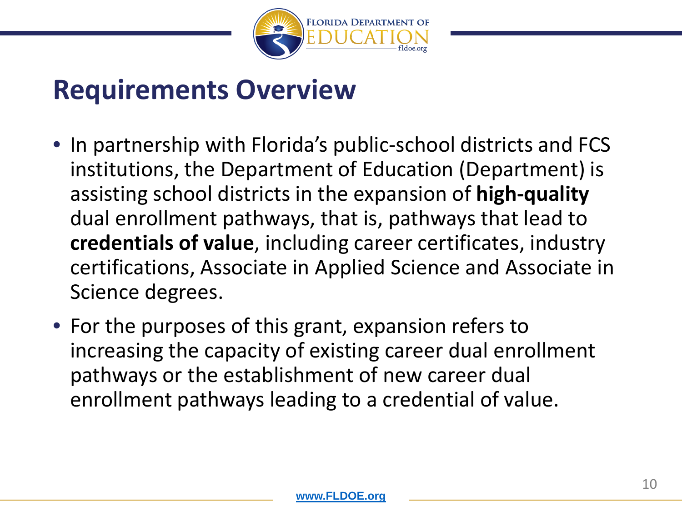

### **Requirements Overview**

- In partnership with Florida's public-school districts and FCS institutions, the Department of Education (Department) is assisting school districts in the expansion of **high-quality** dual enrollment pathways, that is, pathways that lead to **credentials of value**, including career certificates, industry certifications, Associate in Applied Science and Associate in Science degrees.
- For the purposes of this grant, expansion refers to increasing the capacity of existing career dual enrollment pathways or the establishment of new career dual enrollment pathways leading to a credential of value.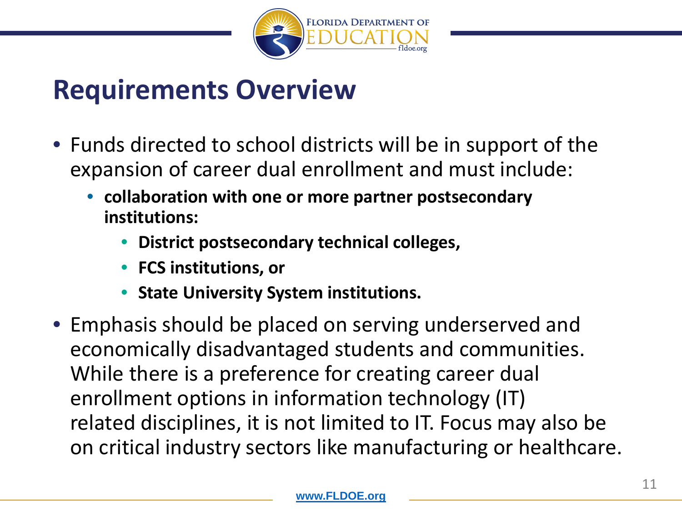

### **Requirements Overview**

- Funds directed to school districts will be in support of the expansion of career dual enrollment and must include:
	- **collaboration with one or more partner postsecondary institutions:**
		- **District postsecondary technical colleges,**
		- **FCS institutions, or**
		- **State University System institutions.**
- Emphasis should be placed on serving underserved and economically disadvantaged students and communities. While there is a preference for creating career dual enrollment options in information technology (IT) related disciplines, it is not limited to IT. Focus may also be on critical industry sectors like manufacturing or healthcare.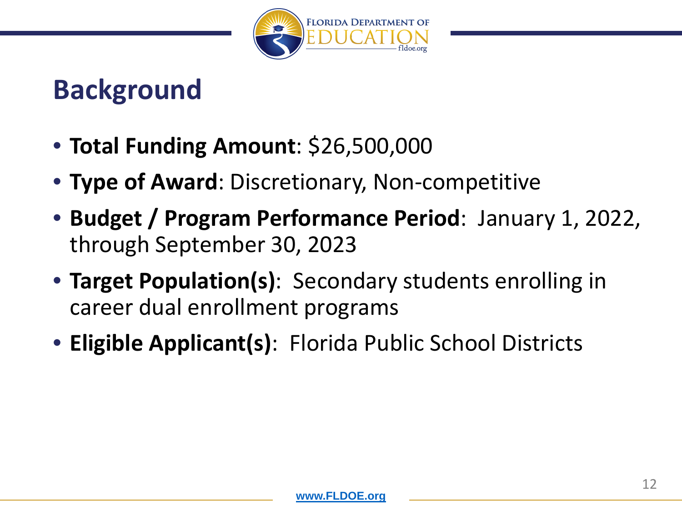

## **Background**

- **Total Funding Amount**: \$26,500,000
- **Type of Award**: Discretionary, Non-competitive
- **Budget / Program Performance Period**: January 1, 2022, through September 30, 2023
- **Target Population(s)**: Secondary students enrolling in career dual enrollment programs
- **Eligible Applicant(s)**: Florida Public School Districts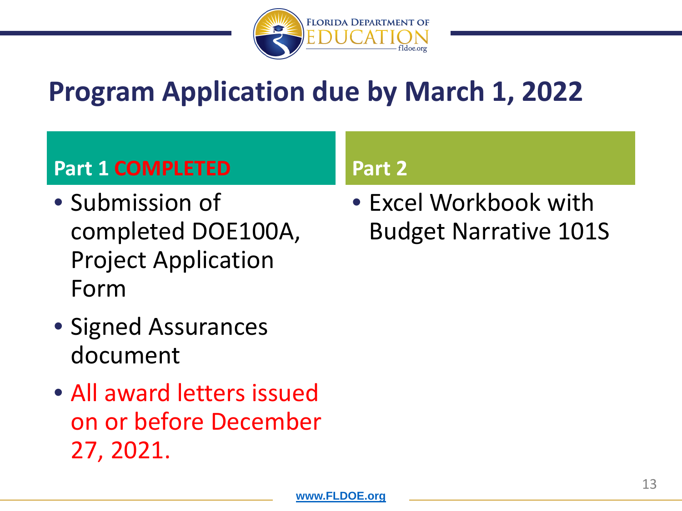

## **Program Application due by March 1, 2022**

### **Part 1 COMPLETED**

- Submission of completed DOE100A, Project Application Form
- Signed Assurances document
- All award letters issued on or before December 27, 2021.

#### **Part 2**

• Excel Workbook with Budget Narrative 101S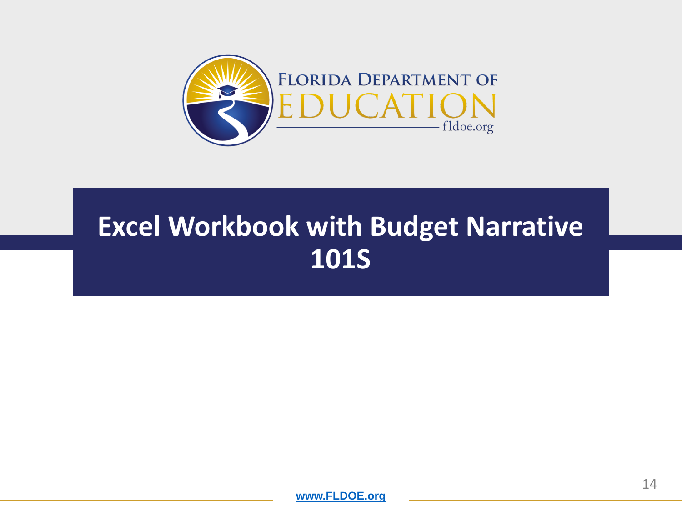

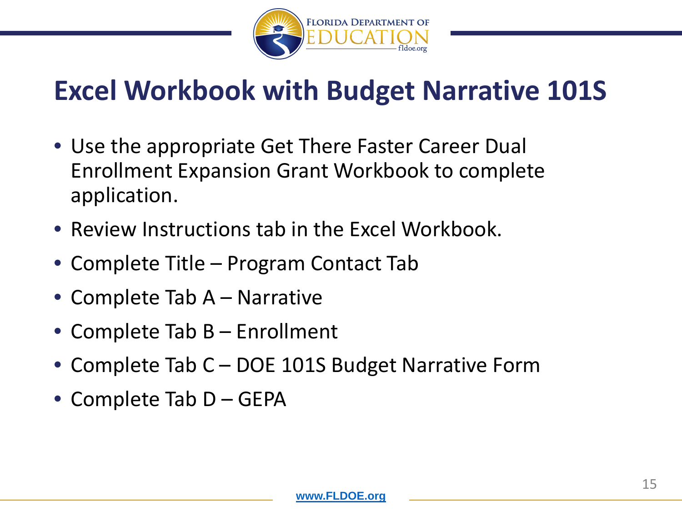

- Use the appropriate Get There Faster Career Dual Enrollment Expansion Grant Workbook to complete application.
- Review Instructions tab in the Excel Workbook.
- Complete Title Program Contact Tab
- Complete Tab A Narrative
- Complete Tab B Enrollment
- Complete Tab C DOE 101S Budget Narrative Form
- Complete Tab D GEPA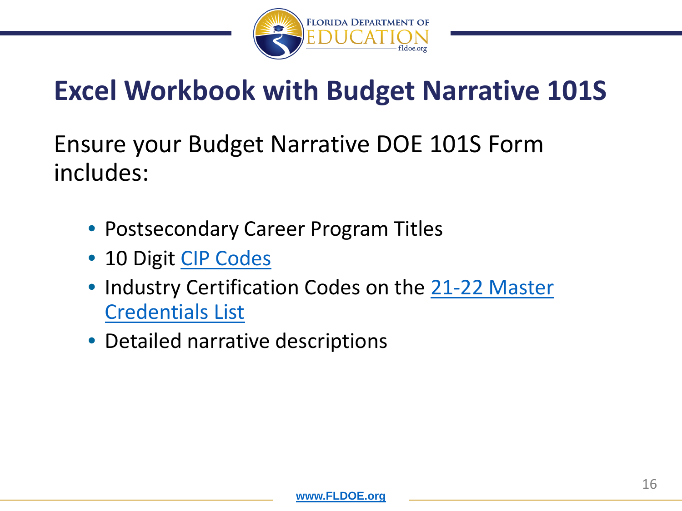

Ensure your Budget Narrative DOE 101S Form includes:

- Postsecondary Career Program Titles
- 10 Digit [CIP Codes](https://www.fldoe.org/academics/career-adult-edu/career-tech-edu/program-resources.stml)
- Industry [Certification Codes on the 21-22 Master](https://careersourceflorida.com/boardroom/florida-credentials-review-committee/master-credentials-list/) Credentials List
- Detailed narrative descriptions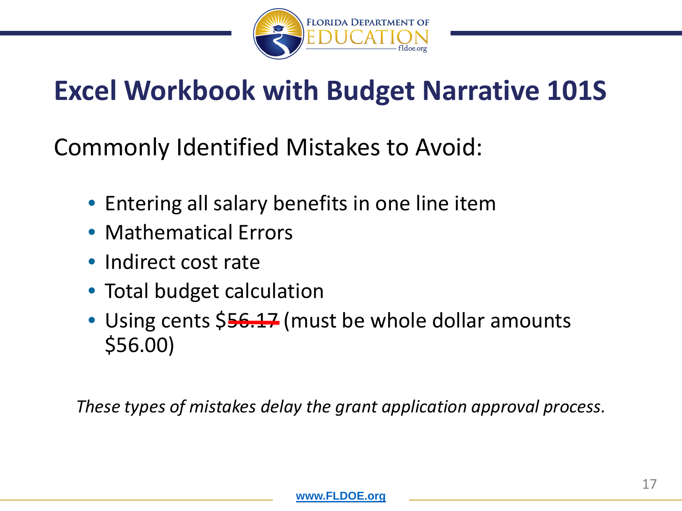

Commonly Identified Mistakes to Avoid:

- Entering all salary benefits in one line item
- Mathematical Errors
- Indirect cost rate
- Total budget calculation
- Using cents \$56.17 (must be whole dollar amounts \$56.00)

*These types of mistakes delay the grant application approval process.*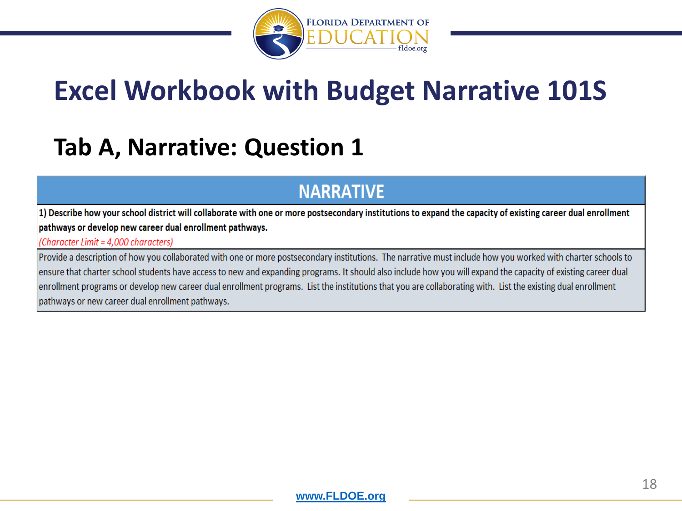

### **Tab A, Narrative: Question 1**

#### **NARRATIVE**

1) Describe how your school district will collaborate with one or more postsecondary institutions to expand the capacity of existing career dual enrollment pathways or develop new career dual enrollment pathways.

#### (Character Limit = 4.000 characters)

Provide a description of how you collaborated with one or more postsecondary institutions. The narrative must include how you worked with charter schools to ensure that charter school students have access to new and expanding programs. It should also include how you will expand the capacity of existing career dual enrollment programs or develop new career dual enrollment programs. List the institutions that you are collaborating with. List the existing dual enrollment pathways or new career dual enrollment pathways.

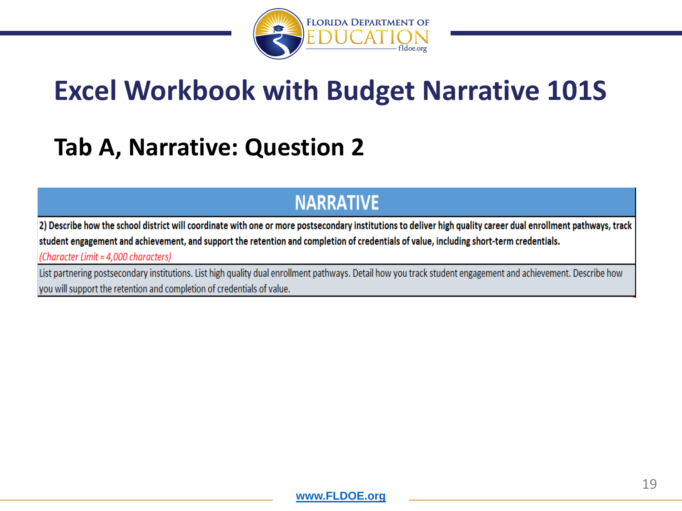

### **Tab A, Narrative: Question 2**

#### **NARRATIVE**

2) Describe how the school district will coordinate with one or more postsecondary institutions to deliver high quality career dual enrollment pathways, track student engagement and achievement, and support the retention and completion of credentials of value, including short-term credentials.

(Character Limit = 4,000 characters)

List partnering postsecondary institutions. List high quality dual enrollment pathways. Detail how you track student engagement and achievement. Describe how you will support the retention and completion of credentials of value.

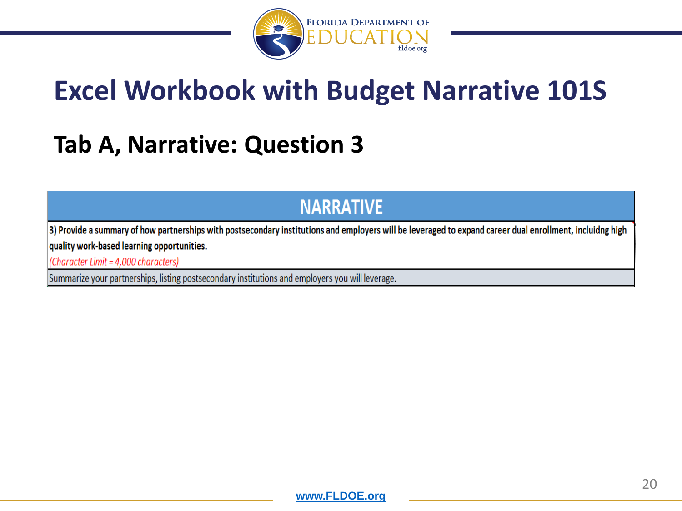

### **Tab A, Narrative: Question 3**

#### **NARRATIVE**

3) Provide a summary of how partnerships with postsecondary institutions and employers will be leveraged to expand career dual enrollment, incluidng high quality work-based learning opportunities.

(Character Limit = 4,000 characters)

Summarize your partnerships, listing postsecondary institutions and employers you will leverage.

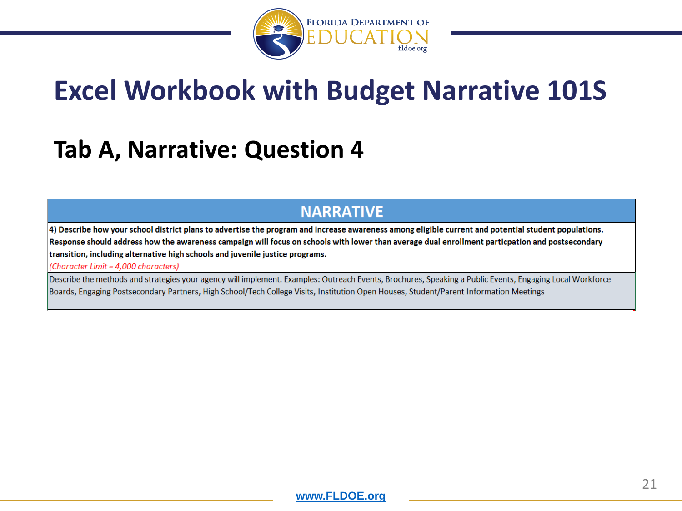

### **Tab A, Narrative: Question 4**

#### **NARRATIVE**

4) Describe how your school district plans to advertise the program and increase awareness among eligible current and potential student populations. Response should address how the awareness campaign will focus on schools with lower than average dual enrollment particpation and postsecondary transition, including alternative high schools and juvenile justice programs.

(Character Limit = 4,000 characters)

Describe the methods and strategies your agency will implement. Examples: Outreach Events, Brochures, Speaking a Public Events, Engaging Local Workforce Boards, Engaging Postsecondary Partners, High School/Tech College Visits, Institution Open Houses, Student/Parent Information Meetings

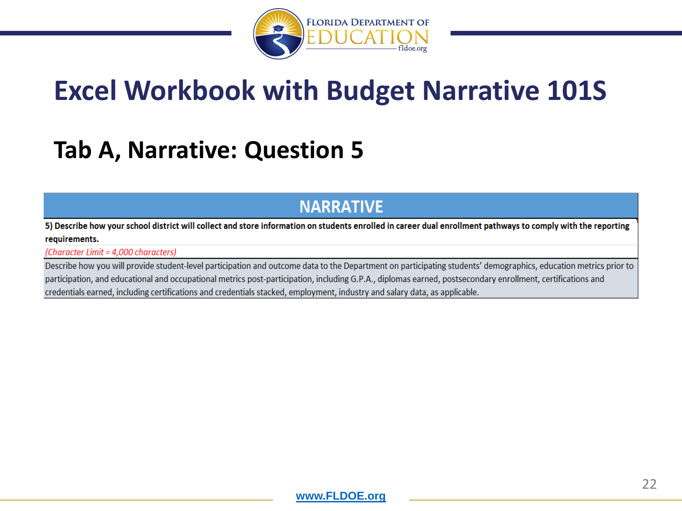

### **Tab A, Narrative: Question 5**

#### **NARRATIVE**

5) Describe how your school district will collect and store information on students enrolled in career dual enrollment pathways to comply with the reporting requirements.

(Character Limit = 4,000 characters)

Describe how you will provide student-level participation and outcome data to the Department on participating students' demographics, education metrics prior to participation, and educational and occupational metrics post-participation, including G.P.A., diplomas earned, postsecondary enrollment, certifications and credentials earned, including certifications and credentials stacked, employment, industry and salary data, as applicable.

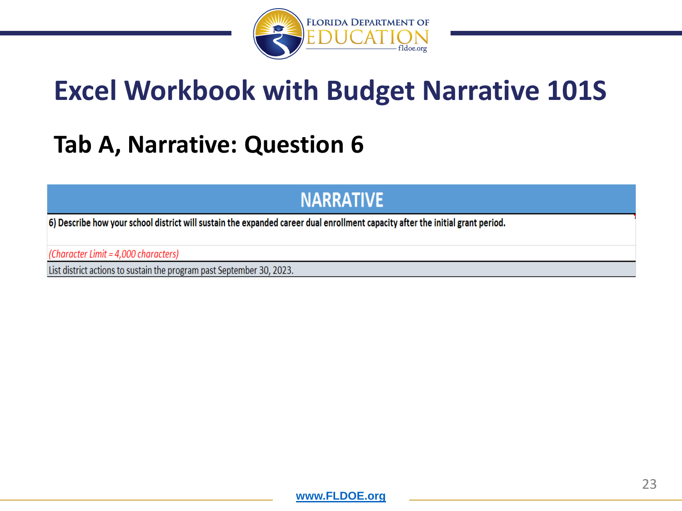

### **Tab A, Narrative: Question 6**

#### **NARRATIVE**

6) Describe how your school district will sustain the expanded career dual enrollment capacity after the initial grant period.

(Character Limit = 4,000 characters)

List district actions to sustain the program past September 30, 2023.

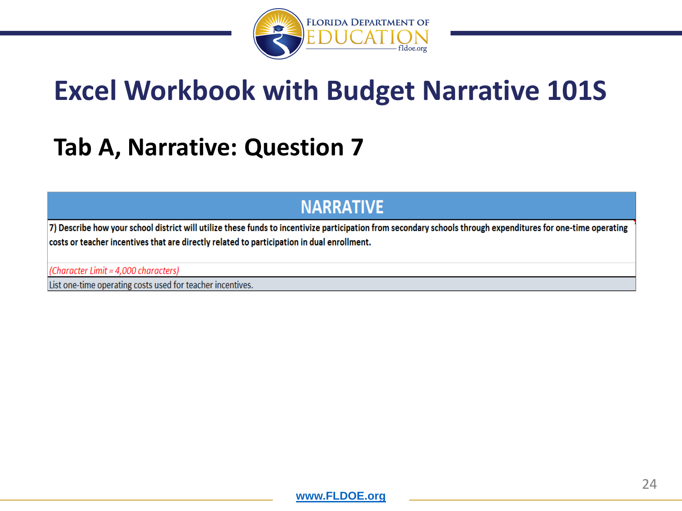

### **Tab A, Narrative: Question 7**

#### **NARRATIVE**

7) Describe how your school district will utilize these funds to incentivize participation from secondary schools through expenditures for one-time operating costs or teacher incentives that are directly related to participation in dual enrollment.

(Character Limit = 4,000 characters)

List one-time operating costs used for teacher incentives.

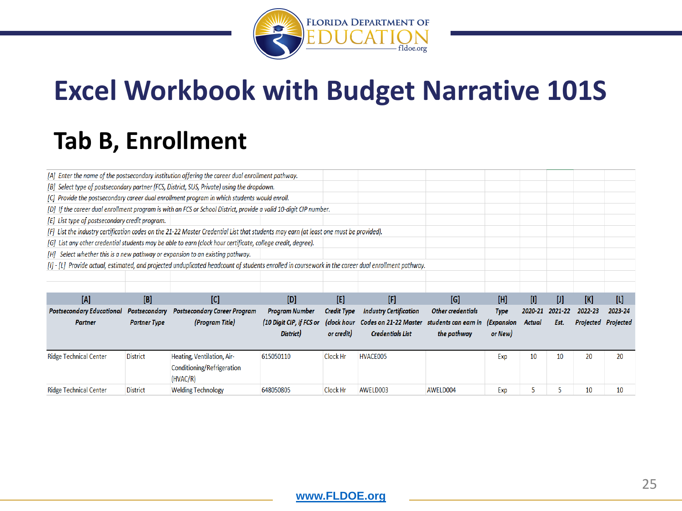

### **Tab B, Enrollment**

| [A] Enter the name of the postsecondary institution offering the career dual enrollment pathway. |                     |                                                                                                                                                     |                          |                    |                               |                          |                   |               |         |           |           |
|--------------------------------------------------------------------------------------------------|---------------------|-----------------------------------------------------------------------------------------------------------------------------------------------------|--------------------------|--------------------|-------------------------------|--------------------------|-------------------|---------------|---------|-----------|-----------|
| [B] Select type of postsecondary partner (FCS, District, SUS, Private) using the dropdown.       |                     |                                                                                                                                                     |                          |                    |                               |                          |                   |               |         |           |           |
| [C] Provide the postsecondary career dual enrollment program in which students would enroll.     |                     |                                                                                                                                                     |                          |                    |                               |                          |                   |               |         |           |           |
|                                                                                                  |                     | [D] If the career dual enrollment program is with an FCS or School District, provide a valid 10-digit CIP number.                                   |                          |                    |                               |                          |                   |               |         |           |           |
| [E] List type of postsecondary credit program.                                                   |                     |                                                                                                                                                     |                          |                    |                               |                          |                   |               |         |           |           |
|                                                                                                  |                     | [F] List the industry certification codes on the 21-22 Master Credential List that students may earn (at least one must be provided).               |                          |                    |                               |                          |                   |               |         |           |           |
|                                                                                                  |                     | [G] List any other credential students may be able to earn (clock hour certificate, college credit, degree).                                        |                          |                    |                               |                          |                   |               |         |           |           |
|                                                                                                  |                     | [H] Select whether this is a new pathway or expansion to an existing pathway.                                                                       |                          |                    |                               |                          |                   |               |         |           |           |
|                                                                                                  |                     | [1] - [L] Provide actual, estimated, and projected unduplicated headcount of students enrolled in coursework in the career dual enrollment pathway. |                          |                    |                               |                          |                   |               |         |           |           |
|                                                                                                  |                     |                                                                                                                                                     |                          |                    |                               |                          |                   |               |         |           |           |
|                                                                                                  |                     |                                                                                                                                                     |                          |                    |                               |                          |                   |               |         |           |           |
|                                                                                                  |                     |                                                                                                                                                     |                          |                    |                               |                          |                   |               |         |           |           |
| [A]                                                                                              | [B]                 | [C]                                                                                                                                                 | [D]                      | [E]                | $[ \mathbb{F} ]$              | [G]                      | [H]               | o             | UI      | [K]       | $[1]$     |
| <b>Postsecondary Educational</b>                                                                 | Postsecondary       | <b>Postsecondary Career Program</b>                                                                                                                 | <b>Program Number</b>    | <b>Credit Type</b> | <b>Industry Certification</b> | <b>Other credentials</b> | Type              | 2020-21       | 2021-22 | 2022-23   | 2023-24   |
| Partner                                                                                          | <b>Partner Type</b> | (Program Title)                                                                                                                                     | (10 Digit CIP, if FCS or | (clock hour        | Codes on 21-22 Master         | students can earn in     | <i>(Expansion</i> | <b>Actual</b> | Est.    | Projected | Projected |
|                                                                                                  |                     |                                                                                                                                                     | District)                | or credit)         | <b>Credentials List</b>       | the pathway              | or New)           |               |         |           |           |
|                                                                                                  |                     |                                                                                                                                                     |                          |                    |                               |                          |                   |               |         |           |           |
| <b>Ridge Technical Center</b>                                                                    | <b>District</b>     | Heating, Ventilation, Air-                                                                                                                          | 615050110                | Clock Hr           | HVACE005                      |                          | Exp               | 10            | 10      | 20        | 20        |
|                                                                                                  |                     | Conditioning/Refrigeration                                                                                                                          |                          |                    |                               |                          |                   |               |         |           |           |
|                                                                                                  |                     | (HVAC/R)                                                                                                                                            |                          |                    |                               |                          |                   |               |         |           |           |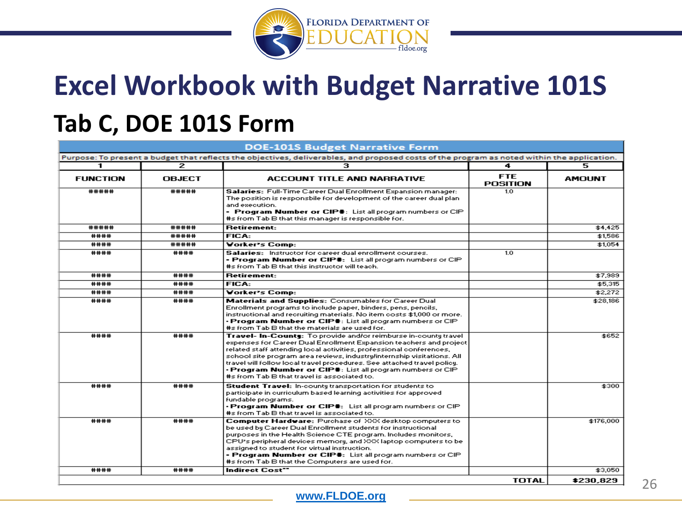

### **Tab C, DOE 101S Form**

| <b>DOE-101S Budget Narrative Form</b>                                                                                                       |               |                                                                                                                                                                                                                                                                                                                                                                                                                                                                                 |                               |               |  |  |  |  |  |
|---------------------------------------------------------------------------------------------------------------------------------------------|---------------|---------------------------------------------------------------------------------------------------------------------------------------------------------------------------------------------------------------------------------------------------------------------------------------------------------------------------------------------------------------------------------------------------------------------------------------------------------------------------------|-------------------------------|---------------|--|--|--|--|--|
| Purpose: To present a budget that reflects the objectives, deliverables, and proposed costs of the program as noted within the application. |               |                                                                                                                                                                                                                                                                                                                                                                                                                                                                                 |                               |               |  |  |  |  |  |
| 1                                                                                                                                           | 2             | з                                                                                                                                                                                                                                                                                                                                                                                                                                                                               | 4                             | 5             |  |  |  |  |  |
| <b>FUNCTION</b>                                                                                                                             | <b>OBJECT</b> | <b>ACCOUNT TITLE AND NARRATIVE</b>                                                                                                                                                                                                                                                                                                                                                                                                                                              | <b>FTE</b><br><b>POSITION</b> | <b>AMOUNT</b> |  |  |  |  |  |
| #####                                                                                                                                       | #####         | Salaries: Full-Time Career Dual Enrollment Expansion manager:<br>The position is responsbile for development of the career dual plan-<br>and execution.<br>- Program Number or CIP#: List all program numbers or CIP<br>#s from Tab B that this manager is responsible for.                                                                                                                                                                                                     | 1.0                           |               |  |  |  |  |  |
| #####                                                                                                                                       | #####         | <b>Retirement:</b>                                                                                                                                                                                                                                                                                                                                                                                                                                                              |                               | \$4,425       |  |  |  |  |  |
| ####                                                                                                                                        | #####         | FICA:                                                                                                                                                                                                                                                                                                                                                                                                                                                                           |                               | \$1,586       |  |  |  |  |  |
| ####                                                                                                                                        | #####         | Vorker's Comp:                                                                                                                                                                                                                                                                                                                                                                                                                                                                  |                               | \$1,054       |  |  |  |  |  |
| ####                                                                                                                                        | ####          | Salaries: Instructor for career dual enrollment courses.<br>- Program Number or CIP#: List all program numbers or CIP<br>#s from Tab B that this instructor will teach.                                                                                                                                                                                                                                                                                                         | 1.0                           |               |  |  |  |  |  |
| ####                                                                                                                                        | ####          | <b>Retirement:</b>                                                                                                                                                                                                                                                                                                                                                                                                                                                              |                               | \$7,989       |  |  |  |  |  |
| ####                                                                                                                                        | ####          | FICA:                                                                                                                                                                                                                                                                                                                                                                                                                                                                           |                               | \$5,315       |  |  |  |  |  |
| ####                                                                                                                                        | ####          | Vorker's Comp:                                                                                                                                                                                                                                                                                                                                                                                                                                                                  |                               | \$2,272       |  |  |  |  |  |
| ####                                                                                                                                        | ####          | Materials and Supplies: Consumables for Career Dual<br>Enrollment programs to include paper, binders, pens, pencils,<br>instructional and recruiting materials. No item costs \$1,000 or more.<br>• Program Number or CIP#: List all program numbers or CIP<br>#s from Tab B that the materials are used for.                                                                                                                                                                   |                               | \$28,186      |  |  |  |  |  |
| ####                                                                                                                                        | ####          | Travel- In-County: To provide and/or reimburse in-county travel<br>expenses for Career Dual Enrollment Expansion teachers and project<br>related staff attending local activities, professional conferences,<br>school site program area reviews, industry/internship visitations. All-<br>travel will follow local travel procedures. See attached travel policy,<br>• Program Number or CIP ≡: List all program numbers or CIP<br>#s from Tab B that travel is associated to. |                               | \$652         |  |  |  |  |  |
| ####                                                                                                                                        | ####          | Student Travel: In-county transportation for students to<br>participate in curriculum based learning activities for approved<br>fundable programs.<br>• Program Number or CIP#: List all program numbers or CIP<br>#s from Tab B that travel is associated to.                                                                                                                                                                                                                  |                               | \$300         |  |  |  |  |  |
| ####                                                                                                                                        | ####          | Computer Hardware: Purchase of XXX desktop computers to<br>be used by Career Dual Enrollment students for instructional.<br>purposes in the Health Science CTE program. Includes monitors, I<br>CPU's peripheral devices memory, and XXX laptop computers to be-<br>assigned to student for virtual instruction.<br>- Program Number or CIP≢: List all program numbers or CIP.<br>#s from Tab B that the Computers are used for.                                                |                               | \$176,000     |  |  |  |  |  |
| ####                                                                                                                                        | ####          | <b>Indirect Cost"</b>                                                                                                                                                                                                                                                                                                                                                                                                                                                           |                               | \$3,050       |  |  |  |  |  |
|                                                                                                                                             |               |                                                                                                                                                                                                                                                                                                                                                                                                                                                                                 | TOTAL                         | essa osa      |  |  |  |  |  |

26

#### **[www.FLDOE.org](http://www.fldoe.org/)**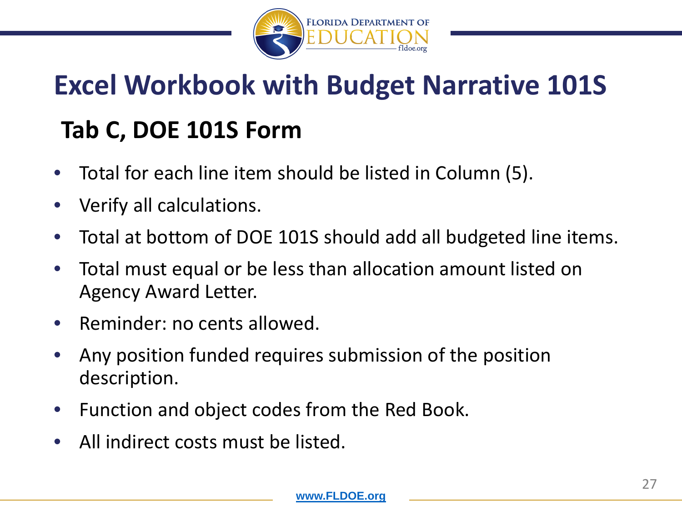

# **Excel Workbook with Budget Narrative 101S Tab C, DOE 101S Form**

- Total for each line item should be listed in Column (5).
- Verify all calculations.
- Total at bottom of DOE 101S should add all budgeted line items.
- Total must equal or be less than allocation amount listed on Agency Award Letter.
- Reminder: no cents allowed.
- Any position funded requires submission of the position description.
- Function and object codes from the Red Book.
- All indirect costs must be listed.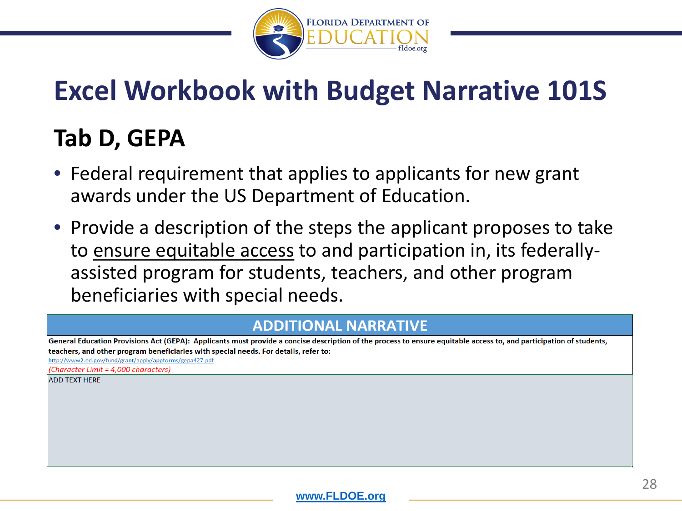

### **Tab D, GEPA**

- Federal requirement that applies to applicants for new grant awards under the US Department of Education.
- Provide a description of the steps the applicant proposes to take to ensure equitable access to and participation in, its federallyassisted program for students, teachers, and other program beneficiaries with special needs.

#### **ADDITIONAL NARRATIVE**

General Education Provisions Act (GEPA): Applicants must provide a concise description of the process to ensure equitable access to, and participation of students, teachers, and other program beneficiaries with special needs. For details, refer to:

http://www2.ed.gov/fund/grant/apply/appforms/gepa427.pdf

(Character Limit = 4.000 characters)

**ADD TEXT HERE**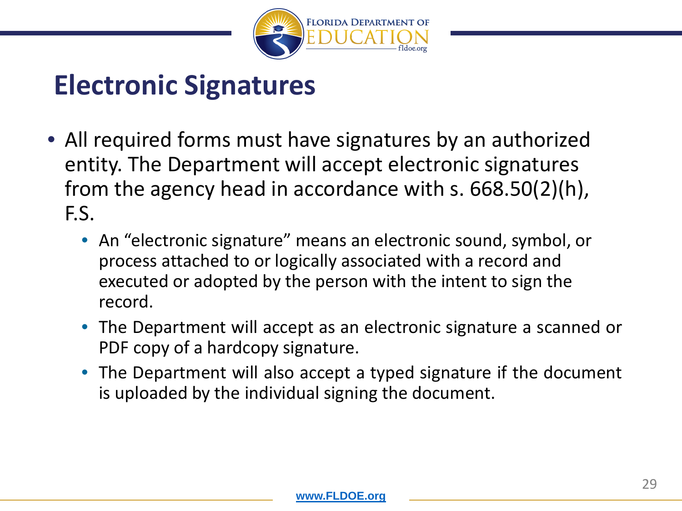

### **Electronic Signatures**

- All required forms must have signatures by an authorized entity. The Department will accept electronic signatures from the agency head in accordance with s. 668.50(2)(h), F.S.
	- An "electronic signature" means an electronic sound, symbol, or process attached to or logically associated with a record and executed or adopted by the person with the intent to sign the record.
	- The Department will accept as an electronic signature a scanned or PDF copy of a hardcopy signature.
	- The Department will also accept a typed signature if the document is uploaded by the individual signing the document.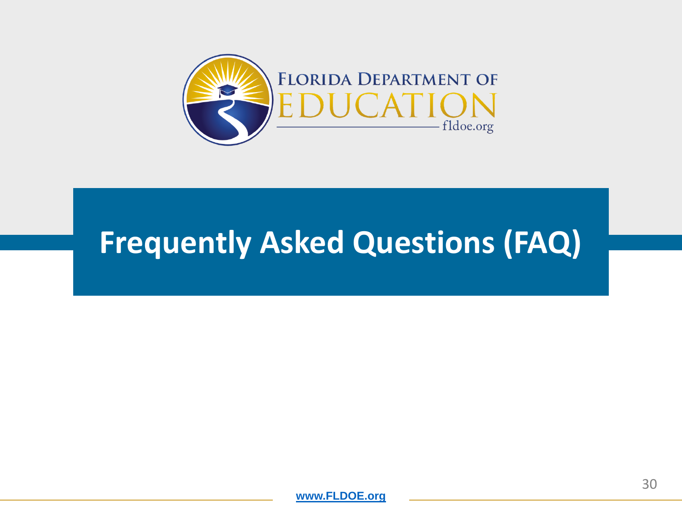

## **Frequently Asked Questions (FAQ)**

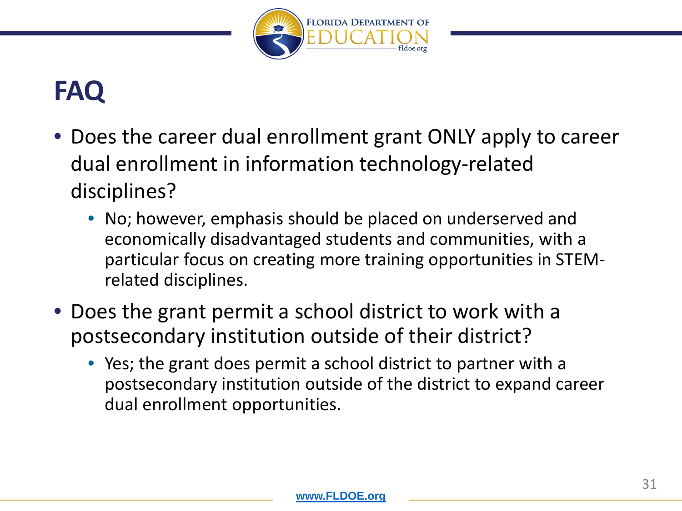

## **FAQ**

- Does the career dual enrollment grant ONLY apply to career dual enrollment in information technology-related disciplines?
	- No; however, emphasis should be placed on underserved and economically disadvantaged students and communities, with a particular focus on creating more training opportunities in STEMrelated disciplines.
- Does the grant permit a school district to work with a postsecondary institution outside of their district?
	- Yes; the grant does permit a school district to partner with a postsecondary institution outside of the district to expand career dual enrollment opportunities.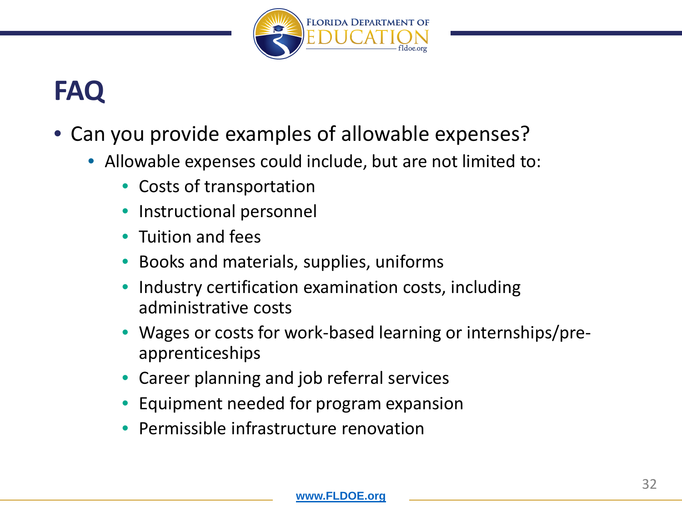

## **FAQ**

- Can you provide examples of allowable expenses?
	- Allowable expenses could include, but are not limited to:
		- Costs of transportation
		- Instructional personnel
		- Tuition and fees
		- Books and materials, supplies, uniforms
		- Industry certification examination costs, including administrative costs
		- Wages or costs for work-based learning or internships/preapprenticeships
		- Career planning and job referral services
		- Equipment needed for program expansion
		- Permissible infrastructure renovation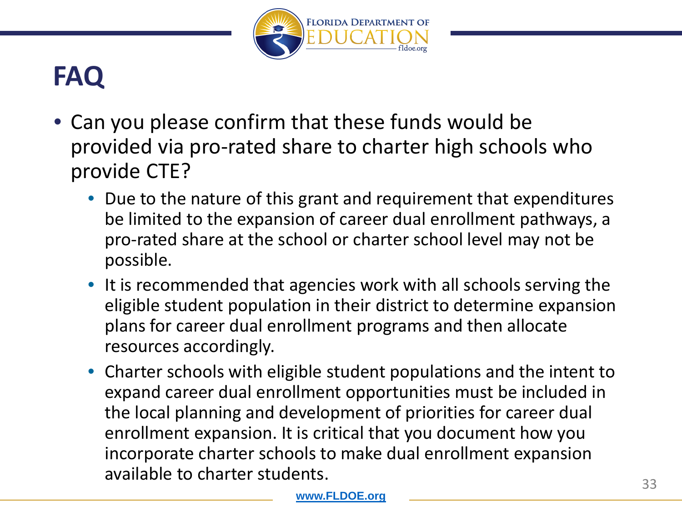

## **FAQ**

- Can you please confirm that these funds would be provided via pro-rated share to charter high schools who provide CTE?
	- Due to the nature of this grant and requirement that expenditures be limited to the expansion of career dual enrollment pathways, a pro-rated share at the school or charter school level may not be possible.
	- It is recommended that agencies work with all schools serving the eligible student population in their district to determine expansion plans for career dual enrollment programs and then allocate resources accordingly.
	- Charter schools with eligible student populations and the intent to expand career dual enrollment opportunities must be included in the local planning and development of priorities for career dual enrollment expansion. It is critical that you document how you incorporate charter schools to make dual enrollment expansion available to charter students.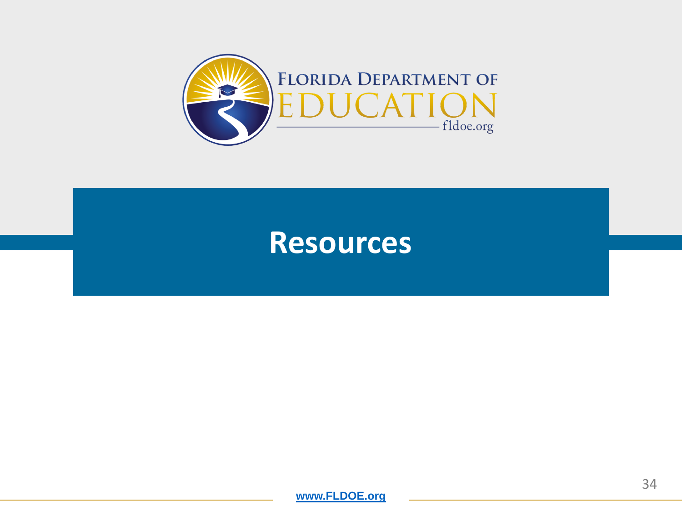

### **Resources**

**[www.FLDOE.org](http://www.fldoe.org/)**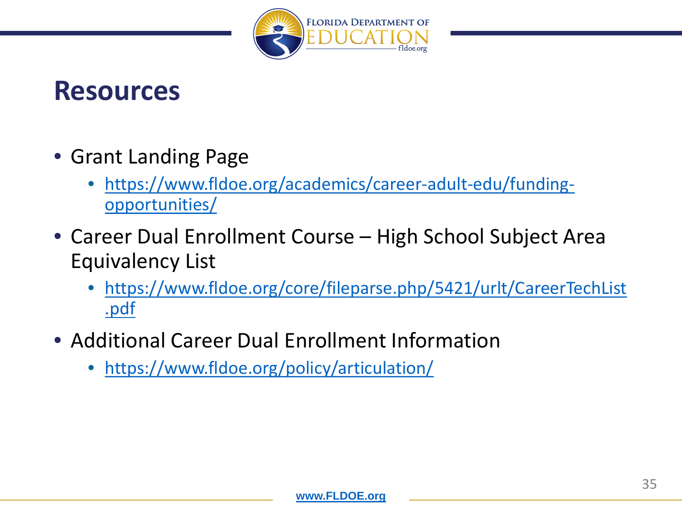

### **Resources**

- Grant Landing Page
	- [https://www.fldoe.org/academics/career-adult-edu/funding](https://www.fldoe.org/academics/career-adult-edu/funding-opportunities/)opportunities/
- Career Dual Enrollment Course High School Subject Area Equivalency List
	- [https://www.fldoe.org/core/fileparse.php/5421/urlt/CareerTechList](https://www.fldoe.org/core/fileparse.php/5421/urlt/CareerTechList.pdf) .pdf
- Additional Career Dual Enrollment Information
	- <https://www.fldoe.org/policy/articulation/>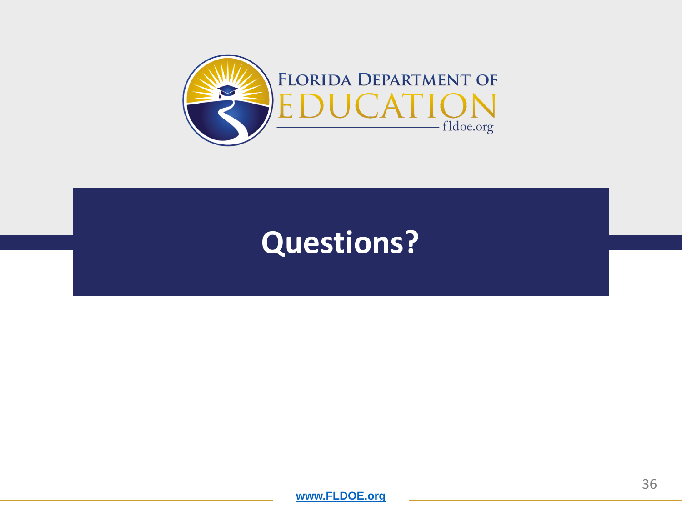

## **Questions?**

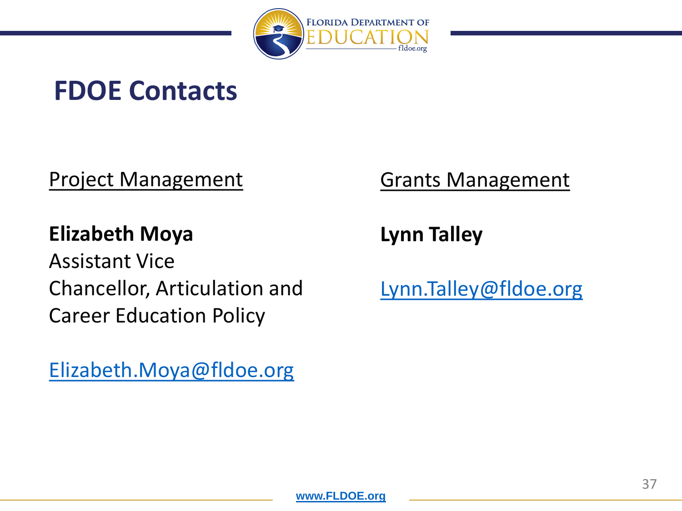

### **FDOE Contacts**

Project Management

### **Elizabeth Moya**

Assistant Vice Chancellor, Articulation and Career Education Policy

[Elizabeth.Moya@fldoe.org](mailto:Elizabeth.Moya@fldoe.org)

### Grants Management

**Lynn Talley**

[Lynn.Talley@fldoe.org](mailto:Lynn.Talley@fldoe.org)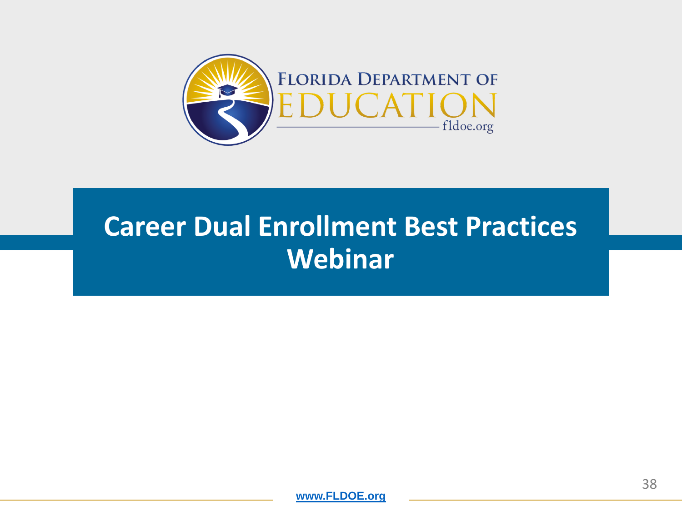

## **Career Dual Enrollment Best Practices Webinar**

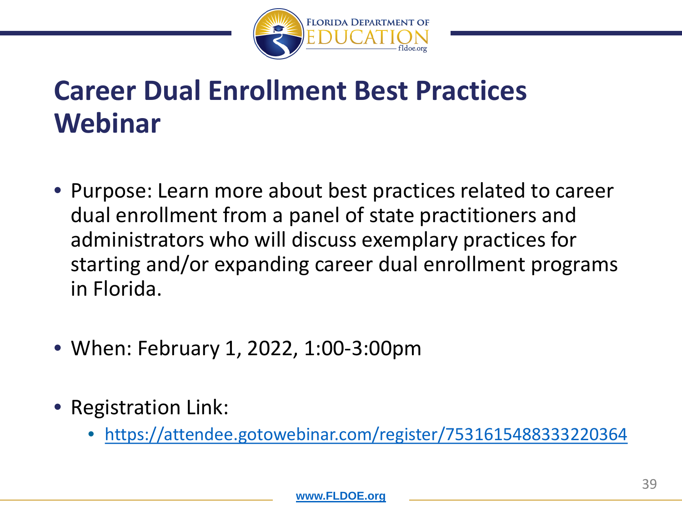

## **Career Dual Enrollment Best Practices Webinar**

- Purpose: Learn more about best practices related to career dual enrollment from a panel of state practitioners and administrators who will discuss exemplary practices for starting and/or expanding career dual enrollment programs in Florida.
- When: February 1, 2022, 1:00-3:00pm
- Registration Link:
	- <https://attendee.gotowebinar.com/register/7531615488333220364>